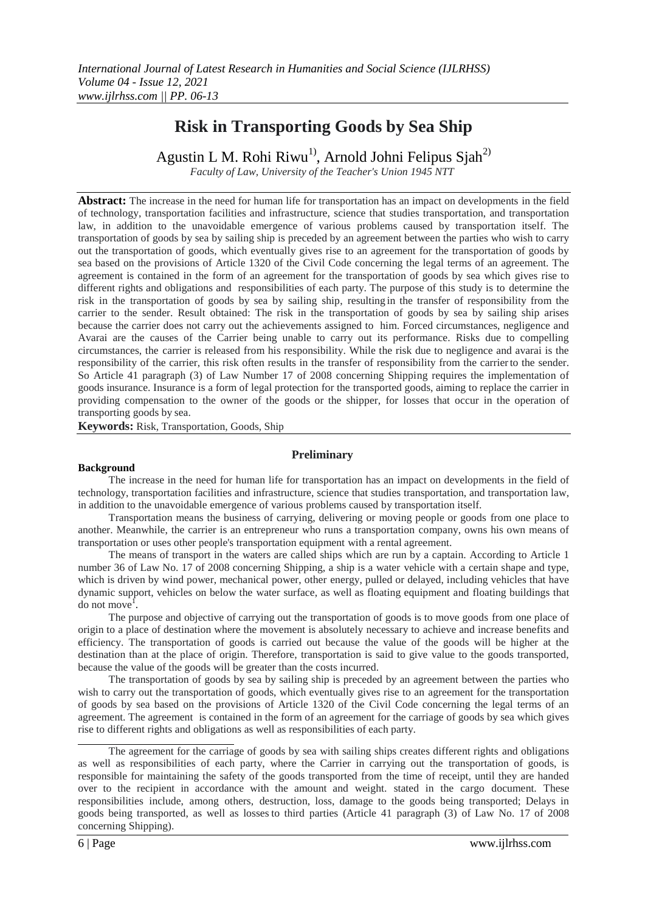# **Risk in Transporting Goods by Sea Ship**

Agustin L M. Rohi Riwu<sup>1)</sup>, Arnold Johni Felipus Sjah<sup>2)</sup>

*Faculty of Law, University of the Teacher's Union 1945 NTT*

**Abstract:** The increase in the need for human life for transportation has an impact on developments in the field of technology, transportation facilities and infrastructure, science that studies transportation, and transportation law, in addition to the unavoidable emergence of various problems caused by transportation itself. The transportation of goods by sea by sailing ship is preceded by an agreement between the parties who wish to carry out the transportation of goods, which eventually gives rise to an agreement for the transportation of goods by sea based on the provisions of Article 1320 of the Civil Code concerning the legal terms of an agreement. The agreement is contained in the form of an agreement for the transportation of goods by sea which gives rise to different rights and obligations and responsibilities of each party. The purpose of this study is to determine the risk in the transportation of goods by sea by sailing ship, resulting in the transfer of responsibility from the carrier to the sender. Result obtained: The risk in the transportation of goods by sea by sailing ship arises because the carrier does not carry out the achievements assigned to him. Forced circumstances, negligence and Avarai are the causes of the Carrier being unable to carry out its performance. Risks due to compelling circumstances, the carrier is released from his responsibility. While the risk due to negligence and avarai is the responsibility of the carrier, this risk often results in the transfer of responsibility from the carrierto the sender. So Article 41 paragraph (3) of Law Number 17 of 2008 concerning Shipping requires the implementation of goods insurance. Insurance is a form of legal protection for the transported goods, aiming to replace the carrier in providing compensation to the owner of the goods or the shipper, for losses that occur in the operation of transporting goods by sea.

**Keywords:** Risk, Transportation, Goods, Ship

# **Preliminary**

#### **Background**

The increase in the need for human life for transportation has an impact on developments in the field of technology, transportation facilities and infrastructure, science that studies transportation, and transportation law, in addition to the unavoidable emergence of various problems caused by transportation itself.

Transportation means the business of carrying, delivering or moving people or goods from one place to another. Meanwhile, the carrier is an entrepreneur who runs a transportation company, owns his own means of transportation or uses other people's transportation equipment with a rental agreement.

The means of transport in the waters are called ships which are run by a captain. According to Article 1 number 36 of Law No. 17 of 2008 concerning Shipping, a ship is a water vehicle with a certain shape and type, which is driven by wind power, mechanical power, other energy, pulled or delayed, including vehicles that have dynamic support, vehicles on below the water surface, as well as floating equipment and floating buildings that  $\frac{1}{2}$  do not move<sup>1</sup>.

The purpose and objective of carrying out the transportation of goods is to move goods from one place of origin to a place of destination where the movement is absolutely necessary to achieve and increase benefits and efficiency. The transportation of goods is carried out because the value of the goods will be higher at the destination than at the place of origin. Therefore, transportation is said to give value to the goods transported, because the value of the goods will be greater than the costs incurred.

The transportation of goods by sea by sailing ship is preceded by an agreement between the parties who wish to carry out the transportation of goods, which eventually gives rise to an agreement for the transportation of goods by sea based on the provisions of Article 1320 of the Civil Code concerning the legal terms of an agreement. The agreement is contained in the form of an agreement for the carriage of goods by sea which gives rise to different rights and obligations as well as responsibilities of each party.

The agreement for the carriage of goods by sea with sailing ships creates different rights and obligations as well as responsibilities of each party, where the Carrier in carrying out the transportation of goods, is responsible for maintaining the safety of the goods transported from the time of receipt, until they are handed over to the recipient in accordance with the amount and weight. stated in the cargo document. These responsibilities include, among others, destruction, loss, damage to the goods being transported; Delays in goods being transported, as well as losses to third parties (Article 41 paragraph (3) of Law No. 17 of 2008 concerning Shipping).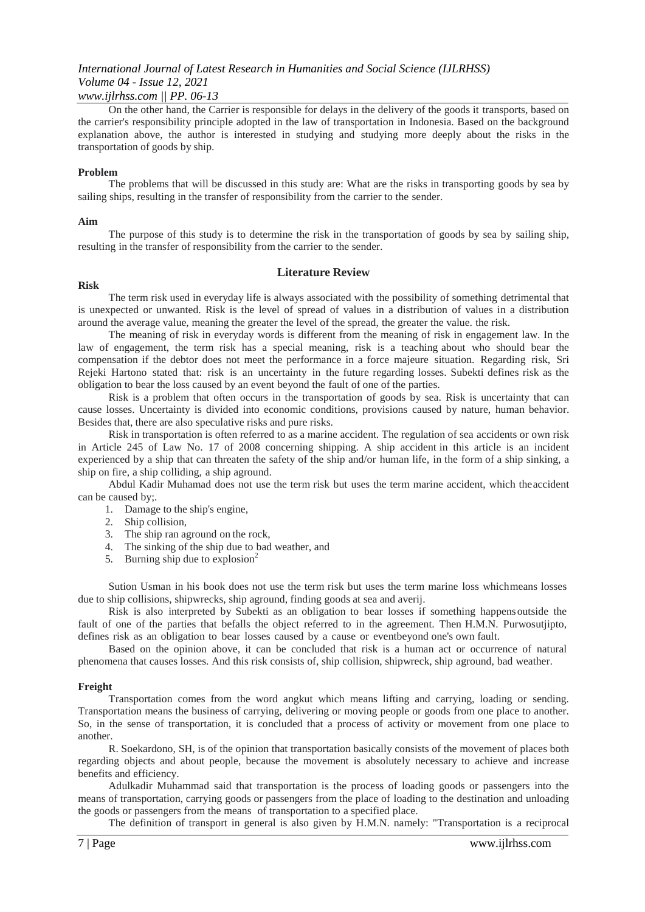#### *www.ijlrhss.com || PP. 06-13*

On the other hand, the Carrier is responsible for delays in the delivery of the goods it transports, based on the carrier's responsibility principle adopted in the law of transportation in Indonesia. Based on the background explanation above, the author is interested in studying and studying more deeply about the risks in the transportation of goods by ship.

#### **Problem**

The problems that will be discussed in this study are: What are the risks in transporting goods by sea by sailing ships, resulting in the transfer of responsibility from the carrier to the sender.

#### **Aim**

The purpose of this study is to determine the risk in the transportation of goods by sea by sailing ship, resulting in the transfer of responsibility from the carrier to the sender.

### **Literature Review**

#### **Risk**

The term risk used in everyday life is always associated with the possibility of something detrimental that is unexpected or unwanted. Risk is the level of spread of values in a distribution of values in a distribution around the average value, meaning the greater the level of the spread, the greater the value. the risk.

The meaning of risk in everyday words is different from the meaning of risk in engagement law. In the law of engagement, the term risk has a special meaning, risk is a teaching about who should bear the compensation if the debtor does not meet the performance in a force majeure situation. Regarding risk, Sri Rejeki Hartono stated that: risk is an uncertainty in the future regarding losses. Subekti defines risk as the obligation to bear the loss caused by an event beyond the fault of one of the parties.

Risk is a problem that often occurs in the transportation of goods by sea. Risk is uncertainty that can cause losses. Uncertainty is divided into economic conditions, provisions caused by nature, human behavior. Besides that, there are also speculative risks and pure risks.

Risk in transportation is often referred to as a marine accident. The regulation of sea accidents or own risk in Article 245 of Law No. 17 of 2008 concerning shipping. A ship accident in this article is an incident experienced by a ship that can threaten the safety of the ship and/or human life, in the form of a ship sinking, a ship on fire, a ship colliding, a ship aground.

Abdul Kadir Muhamad does not use the term risk but uses the term marine accident, which theaccident can be caused by;.

1. Damage to the ship's engine,

- 2. Ship collision,
- 3. The ship ran aground on the rock,
- 4. The sinking of the ship due to bad weather, and
- 5. Burning ship due to explosion<sup>2</sup>

Sution Usman in his book does not use the term risk but uses the term marine loss whichmeans losses due to ship collisions, shipwrecks, ship aground, finding goods at sea and averij.

Risk is also interpreted by Subekti as an obligation to bear losses if something happensoutside the fault of one of the parties that befalls the object referred to in the agreement. Then H.M.N. Purwosutjipto, defines risk as an obligation to bear losses caused by a cause or eventbeyond one's own fault.

Based on the opinion above, it can be concluded that risk is a human act or occurrence of natural phenomena that causes losses. And this risk consists of, ship collision, shipwreck, ship aground, bad weather.

#### **Freight**

Transportation comes from the word angkut which means lifting and carrying, loading or sending. Transportation means the business of carrying, delivering or moving people or goods from one place to another. So, in the sense of transportation, it is concluded that a process of activity or movement from one place to another.

R. Soekardono, SH, is of the opinion that transportation basically consists of the movement of places both regarding objects and about people, because the movement is absolutely necessary to achieve and increase benefits and efficiency.

Adulkadir Muhammad said that transportation is the process of loading goods or passengers into the means of transportation, carrying goods or passengers from the place of loading to the destination and unloading the goods or passengers from the means of transportation to a specified place.

The definition of transport in general is also given by H.M.N. namely: "Transportation is a reciprocal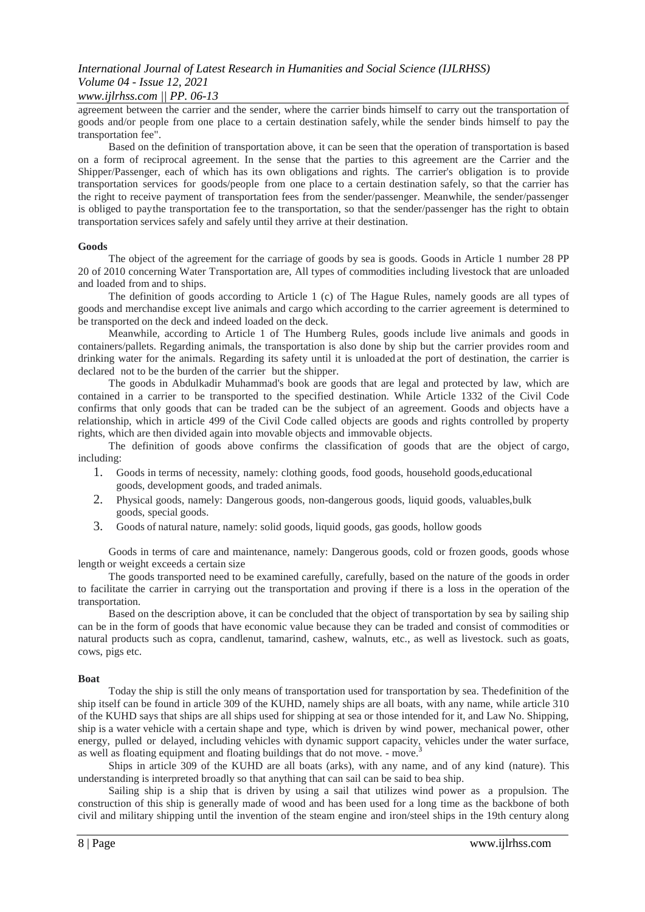### *www.ijlrhss.com || PP. 06-13*

agreement between the carrier and the sender, where the carrier binds himself to carry out the transportation of goods and/or people from one place to a certain destination safely, while the sender binds himself to pay the transportation fee".

Based on the definition of transportation above, it can be seen that the operation of transportation is based on a form of reciprocal agreement. In the sense that the parties to this agreement are the Carrier and the Shipper/Passenger, each of which has its own obligations and rights. The carrier's obligation is to provide transportation services for goods/people from one place to a certain destination safely, so that the carrier has the right to receive payment of transportation fees from the sender/passenger. Meanwhile, the sender/passenger is obliged to paythe transportation fee to the transportation, so that the sender/passenger has the right to obtain transportation services safely and safely until they arrive at their destination.

#### **Goods**

The object of the agreement for the carriage of goods by sea is goods. Goods in Article 1 number 28 PP 20 of 2010 concerning Water Transportation are, All types of commodities including livestock that are unloaded and loaded from and to ships.

The definition of goods according to Article 1 (c) of The Hague Rules, namely goods are all types of goods and merchandise except live animals and cargo which according to the carrier agreement is determined to be transported on the deck and indeed loaded on the deck.

Meanwhile, according to Article 1 of The Humberg Rules, goods include live animals and goods in containers/pallets. Regarding animals, the transportation is also done by ship but the carrier provides room and drinking water for the animals. Regarding its safety until it is unloaded at the port of destination, the carrier is declared not to be the burden of the carrier but the shipper.

The goods in Abdulkadir Muhammad's book are goods that are legal and protected by law, which are contained in a carrier to be transported to the specified destination. While Article 1332 of the Civil Code confirms that only goods that can be traded can be the subject of an agreement. Goods and objects have a relationship, which in article 499 of the Civil Code called objects are goods and rights controlled by property rights, which are then divided again into movable objects and immovable objects.

The definition of goods above confirms the classification of goods that are the object of cargo, including:

- 1. Goods in terms of necessity, namely: clothing goods, food goods, household goods,educational goods, development goods, and traded animals.
- 2. Physical goods, namely: Dangerous goods, non-dangerous goods, liquid goods, valuables,bulk goods, special goods.
- 3. Goods of natural nature, namely: solid goods, liquid goods, gas goods, hollow goods

Goods in terms of care and maintenance, namely: Dangerous goods, cold or frozen goods, goods whose length or weight exceeds a certain size

The goods transported need to be examined carefully, carefully, based on the nature of the goods in order to facilitate the carrier in carrying out the transportation and proving if there is a loss in the operation of the transportation.

Based on the description above, it can be concluded that the object of transportation by sea by sailing ship can be in the form of goods that have economic value because they can be traded and consist of commodities or natural products such as copra, candlenut, tamarind, cashew, walnuts, etc., as well as livestock. such as goats, cows, pigs etc.

#### **Boat**

Today the ship is still the only means of transportation used for transportation by sea. Thedefinition of the ship itself can be found in article 309 of the KUHD, namely ships are all boats, with any name, while article 310 of the KUHD says that ships are all ships used for shipping at sea or those intended for it, and Law No. Shipping, ship is a water vehicle with a certain shape and type, which is driven by wind power, mechanical power, other energy, pulled or delayed, including vehicles with dynamic support capacity, vehicles under the water surface, as well as floating equipment and floating buildings that do not move. - move.<sup>3</sup>

Ships in article 309 of the KUHD are all boats (arks), with any name, and of any kind (nature). This understanding is interpreted broadly so that anything that can sail can be said to bea ship.

Sailing ship is a ship that is driven by using a sail that utilizes wind power as a propulsion. The construction of this ship is generally made of wood and has been used for a long time as the backbone of both civil and military shipping until the invention of the steam engine and iron/steel ships in the 19th century along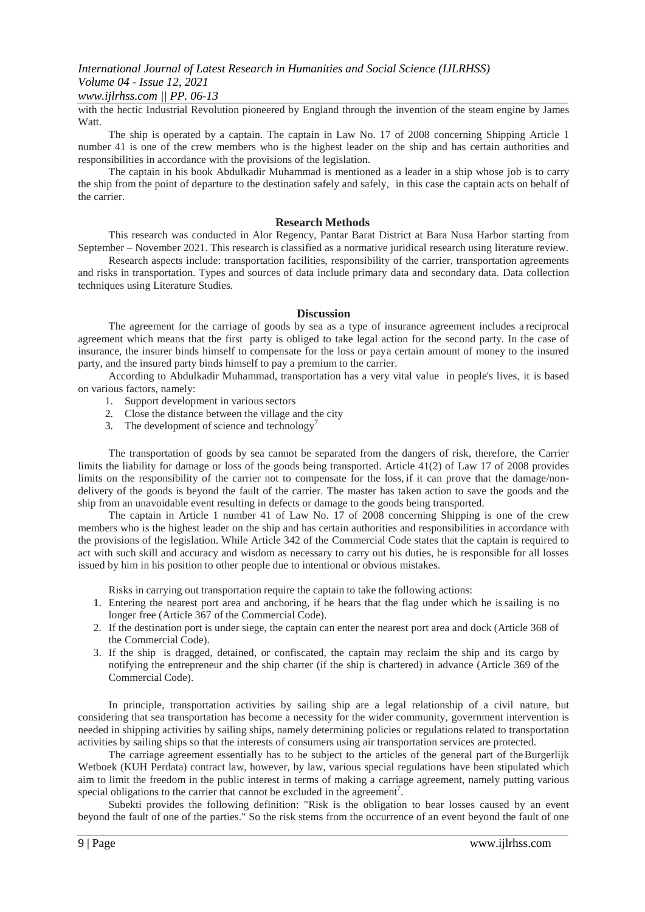# *www.ijlrhss.com || PP. 06-13*

with the hectic Industrial Revolution pioneered by England through the invention of the steam engine by James Watt.

The ship is operated by a captain. The captain in Law No. 17 of 2008 concerning Shipping Article 1 number 41 is one of the crew members who is the highest leader on the ship and has certain authorities and responsibilities in accordance with the provisions of the legislation.

The captain in his book Abdulkadir Muhammad is mentioned as a leader in a ship whose job is to carry the ship from the point of departure to the destination safely and safely, in this case the captain acts on behalf of the carrier.

#### **Research Methods**

This research was conducted in Alor Regency, Pantar Barat District at Bara Nusa Harbor starting from September – November 2021. This research is classified as a normative juridical research using literature review.

Research aspects include: transportation facilities, responsibility of the carrier, transportation agreements and risks in transportation. Types and sources of data include primary data and secondary data. Data collection techniques using Literature Studies.

#### **Discussion**

The agreement for the carriage of goods by sea as a type of insurance agreement includes a reciprocal agreement which means that the first party is obliged to take legal action for the second party. In the case of insurance, the insurer binds himself to compensate for the loss or paya certain amount of money to the insured party, and the insured party binds himself to pay a premium to the carrier.

According to Abdulkadir Muhammad, transportation has a very vital value in people's lives, it is based on various factors, namely:

- 1. Support development in various sectors
- 2. Close the distance between the village and the city
- 3. The development of science and technology<sup>7</sup>

The transportation of goods by sea cannot be separated from the dangers of risk, therefore, the Carrier limits the liability for damage or loss of the goods being transported. Article 41(2) of Law 17 of 2008 provides limits on the responsibility of the carrier not to compensate for the loss, if it can prove that the damage/nondelivery of the goods is beyond the fault of the carrier. The master has taken action to save the goods and the ship from an unavoidable event resulting in defects or damage to the goods being transported.

The captain in Article 1 number 41 of Law No. 17 of 2008 concerning Shipping is one of the crew members who is the highest leader on the ship and has certain authorities and responsibilities in accordance with the provisions of the legislation. While Article 342 of the Commercial Code states that the captain is required to act with such skill and accuracy and wisdom as necessary to carry out his duties, he is responsible for all losses issued by him in his position to other people due to intentional or obvious mistakes.

Risks in carrying out transportation require the captain to take the following actions:

- 1. Entering the nearest port area and anchoring, if he hears that the flag under which he issailing is no longer free (Article 367 of the Commercial Code).
- 2. If the destination port is under siege, the captain can enter the nearest port area and dock (Article 368 of the Commercial Code).
- 3. If the ship is dragged, detained, or confiscated, the captain may reclaim the ship and its cargo by notifying the entrepreneur and the ship charter (if the ship is chartered) in advance (Article 369 of the Commercial Code).

In principle, transportation activities by sailing ship are a legal relationship of a civil nature, but considering that sea transportation has become a necessity for the wider community, government intervention is needed in shipping activities by sailing ships, namely determining policies or regulations related to transportation activities by sailing ships so that the interests of consumers using air transportation services are protected.

The carriage agreement essentially has to be subject to the articles of the general part of the Burgerlijk Wetboek (KUH Perdata) contract law, however, by law, various special regulations have been stipulated which aim to limit the freedom in the public interest in terms of making a carriage agreement, namely putting various special obligations to the carrier that cannot be excluded in the agreement<sup>7</sup>.

Subekti provides the following definition: "Risk is the obligation to bear losses caused by an event beyond the fault of one of the parties." So the risk stems from the occurrence of an event beyond the fault of one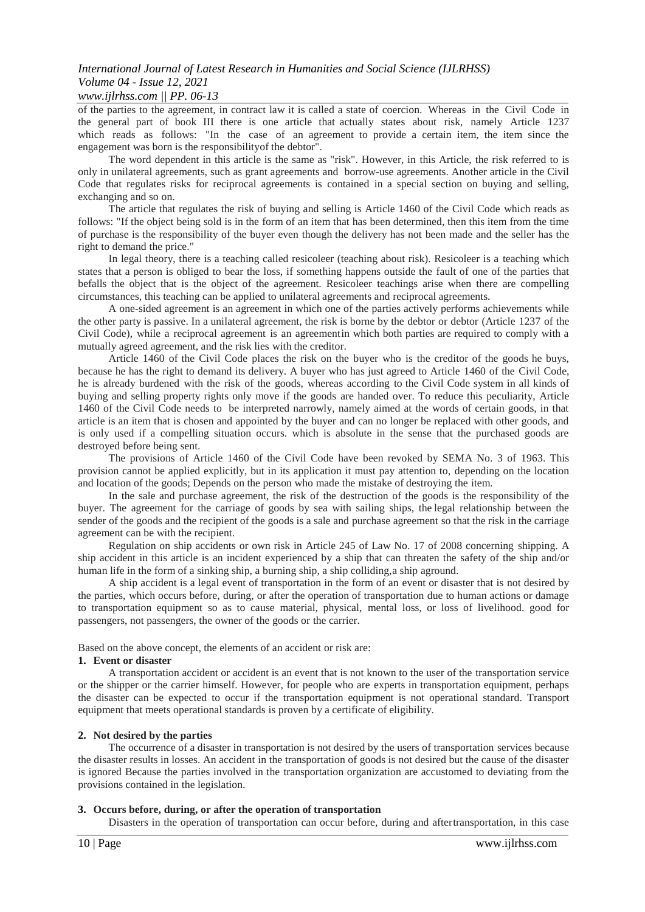### *www.ijlrhss.com || PP. 06-13*

of the parties to the agreement, in contract law it is called a state of coercion. Whereas in the Civil Code in the general part of book III there is one article that actually states about risk, namely Article 1237 which reads as follows: "In the case of an agreement to provide a certain item, the item since the engagement was born is the responsibilityof the debtor".

The word dependent in this article is the same as "risk". However, in this Article, the risk referred to is only in unilateral agreements, such as grant agreements and borrow-use agreements. Another article in the Civil Code that regulates risks for reciprocal agreements is contained in a special section on buying and selling, exchanging and so on.

The article that regulates the risk of buying and selling is Article 1460 of the Civil Code which reads as follows: "If the object being sold is in the form of an item that has been determined, then this item from the time of purchase is the responsibility of the buyer even though the delivery has not been made and the seller has the right to demand the price."

In legal theory, there is a teaching called resicoleer (teaching about risk). Resicoleer is a teaching which states that a person is obliged to bear the loss, if something happens outside the fault of one of the parties that befalls the object that is the object of the agreement. Resicoleer teachings arise when there are compelling circumstances, this teaching can be applied to unilateral agreements and reciprocal agreements.

A one-sided agreement is an agreement in which one of the parties actively performs achievements while the other party is passive. In a unilateral agreement, the risk is borne by the debtor or debtor (Article 1237 of the Civil Code), while a reciprocal agreement is an agreementin which both parties are required to comply with a mutually agreed agreement, and the risk lies with the creditor.

Article 1460 of the Civil Code places the risk on the buyer who is the creditor of the goods he buys, because he has the right to demand its delivery. A buyer who has just agreed to Article 1460 of the Civil Code, he is already burdened with the risk of the goods, whereas according to the Civil Code system in all kinds of buying and selling property rights only move if the goods are handed over. To reduce this peculiarity, Article 1460 of the Civil Code needs to be interpreted narrowly, namely aimed at the words of certain goods, in that article is an item that is chosen and appointed by the buyer and can no longer be replaced with other goods, and is only used if a compelling situation occurs. which is absolute in the sense that the purchased goods are destroyed before being sent.

The provisions of Article 1460 of the Civil Code have been revoked by SEMA No. 3 of 1963. This provision cannot be applied explicitly, but in its application it must pay attention to, depending on the location and location of the goods; Depends on the person who made the mistake of destroying the item.

In the sale and purchase agreement, the risk of the destruction of the goods is the responsibility of the buyer. The agreement for the carriage of goods by sea with sailing ships, the legal relationship between the sender of the goods and the recipient of the goods is a sale and purchase agreement so that the risk in the carriage agreement can be with the recipient.

Regulation on ship accidents or own risk in Article 245 of Law No. 17 of 2008 concerning shipping. A ship accident in this article is an incident experienced by a ship that can threaten the safety of the ship and/or human life in the form of a sinking ship, a burning ship, a ship colliding,a ship aground.

A ship accident is a legal event of transportation in the form of an event or disaster that is not desired by the parties, which occurs before, during, or after the operation of transportation due to human actions or damage to transportation equipment so as to cause material, physical, mental loss, or loss of livelihood. good for passengers, not passengers, the owner of the goods or the carrier.

Based on the above concept, the elements of an accident or risk are:

## **1. Event or disaster**

A transportation accident or accident is an event that is not known to the user of the transportation service or the shipper or the carrier himself. However, for people who are experts in transportation equipment, perhaps the disaster can be expected to occur if the transportation equipment is not operational standard. Transport equipment that meets operational standards is proven by a certificate of eligibility.

#### **2. Not desired by the parties**

The occurrence of a disaster in transportation is not desired by the users of transportation services because the disaster results in losses. An accident in the transportation of goods is not desired but the cause of the disaster is ignored Because the parties involved in the transportation organization are accustomed to deviating from the provisions contained in the legislation.

#### **3. Occurs before, during, or after the operation of transportation**

Disasters in the operation of transportation can occur before, during and aftertransportation, in this case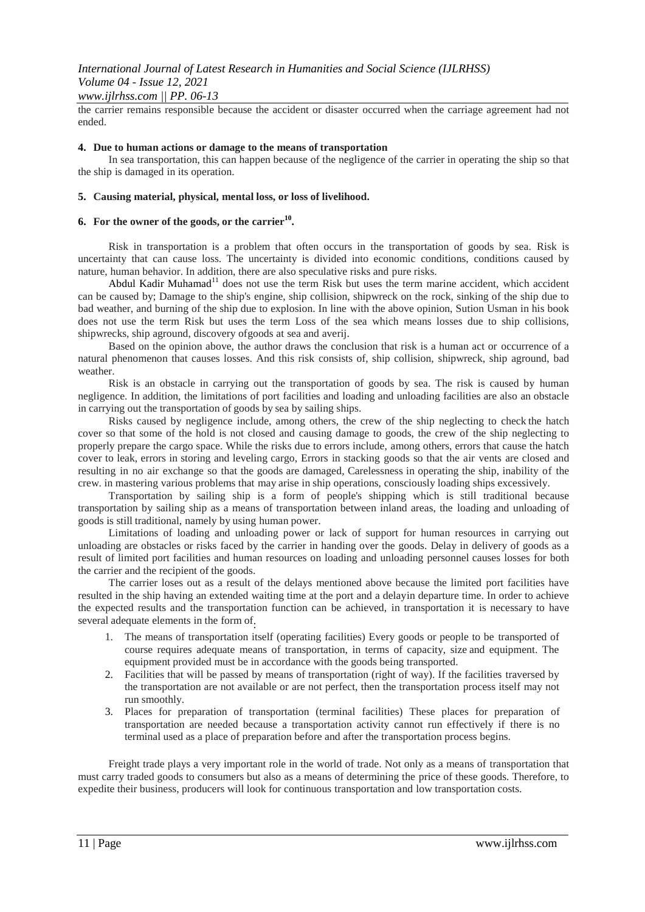the carrier remains responsible because the accident or disaster occurred when the carriage agreement had not ended.

#### **4. Due to human actions or damage to the means of transportation**

In sea transportation, this can happen because of the negligence of the carrier in operating the ship so that the ship is damaged in its operation.

#### **5. Causing material, physical, mental loss, or loss of livelihood.**

### **6. For the owner of the goods, or the carrier<sup>10</sup> .**

Risk in transportation is a problem that often occurs in the transportation of goods by sea. Risk is uncertainty that can cause loss. The uncertainty is divided into economic conditions, conditions caused by nature, human behavior. In addition, there are also speculative risks and pure risks.

Abdul Kadir Muhamad<sup>11</sup> does not use the term Risk but uses the term marine accident, which accident can be caused by; Damage to the ship's engine, ship collision, shipwreck on the rock, sinking of the ship due to bad weather, and burning of the ship due to explosion. In line with the above opinion, Sution Usman in his book does not use the term Risk but uses the term Loss of the sea which means losses due to ship collisions, shipwrecks, ship aground, discovery ofgoods at sea and averij.

Based on the opinion above, the author draws the conclusion that risk is a human act or occurrence of a natural phenomenon that causes losses. And this risk consists of, ship collision, shipwreck, ship aground, bad weather.

Risk is an obstacle in carrying out the transportation of goods by sea. The risk is caused by human negligence. In addition, the limitations of port facilities and loading and unloading facilities are also an obstacle in carrying out the transportation of goods by sea by sailing ships.

Risks caused by negligence include, among others, the crew of the ship neglecting to check the hatch cover so that some of the hold is not closed and causing damage to goods, the crew of the ship neglecting to properly prepare the cargo space. While the risks due to errors include, among others, errors that cause the hatch cover to leak, errors in storing and leveling cargo, Errors in stacking goods so that the air vents are closed and resulting in no air exchange so that the goods are damaged, Carelessness in operating the ship, inability of the crew. in mastering various problems that may arise in ship operations, consciously loading ships excessively.

Transportation by sailing ship is a form of people's shipping which is still traditional because transportation by sailing ship as a means of transportation between inland areas, the loading and unloading of goods is still traditional, namely by using human power.

Limitations of loading and unloading power or lack of support for human resources in carrying out unloading are obstacles or risks faced by the carrier in handing over the goods. Delay in delivery of goods as a result of limited port facilities and human resources on loading and unloading personnel causes losses for both the carrier and the recipient of the goods.

The carrier loses out as a result of the delays mentioned above because the limited port facilities have resulted in the ship having an extended waiting time at the port and a delayin departure time. In order to achieve the expected results and the transportation function can be achieved, in transportation it is necessary to have several adequate elements in the form of.

- 1. The means of transportation itself (operating facilities) Every goods or people to be transported of course requires adequate means of transportation, in terms of capacity, size and equipment. The equipment provided must be in accordance with the goods being transported.
- 2. Facilities that will be passed by means of transportation (right of way). If the facilities traversed by the transportation are not available or are not perfect, then the transportation process itself may not run smoothly.
- 3. Places for preparation of transportation (terminal facilities) These places for preparation of transportation are needed because a transportation activity cannot run effectively if there is no terminal used as a place of preparation before and after the transportation process begins.

Freight trade plays a very important role in the world of trade. Not only as a means of transportation that must carry traded goods to consumers but also as a means of determining the price of these goods. Therefore, to expedite their business, producers will look for continuous transportation and low transportation costs.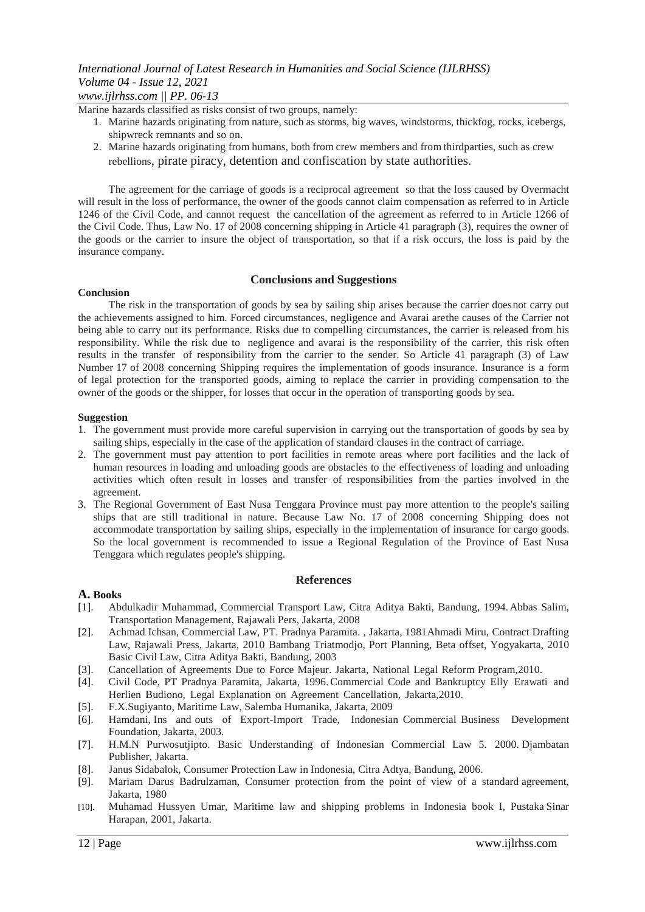# *International Journal of Latest Research in Humanities and Social Science (IJLRHSS) Volume 04 - Issue 12, 2021 www.ijlrhss.com || PP. 06-13*

Marine hazards classified as risks consist of two groups, namely:

- 1. Marine hazards originating from nature, such as storms, big waves, windstorms, thickfog, rocks, icebergs, shipwreck remnants and so on.
- 2. Marine hazards originating from humans, both from crew members and from thirdparties, such as crew rebellions, pirate piracy, detention and confiscation by state authorities.

The agreement for the carriage of goods is a reciprocal agreement so that the loss caused by Overmacht will result in the loss of performance, the owner of the goods cannot claim compensation as referred to in Article 1246 of the Civil Code, and cannot request the cancellation of the agreement as referred to in Article 1266 of the Civil Code. Thus, Law No. 17 of 2008 concerning shipping in Article 41 paragraph (3), requires the owner of the goods or the carrier to insure the object of transportation, so that if a risk occurs, the loss is paid by the insurance company.

### **Conclusions and Suggestions**

#### **Conclusion**

The risk in the transportation of goods by sea by sailing ship arises because the carrier doesnot carry out the achievements assigned to him. Forced circumstances, negligence and Avarai arethe causes of the Carrier not being able to carry out its performance. Risks due to compelling circumstances, the carrier is released from his responsibility. While the risk due to negligence and avarai is the responsibility of the carrier, this risk often results in the transfer of responsibility from the carrier to the sender. So Article 41 paragraph (3) of Law Number 17 of 2008 concerning Shipping requires the implementation of goods insurance. Insurance is a form of legal protection for the transported goods, aiming to replace the carrier in providing compensation to the owner of the goods or the shipper, for losses that occur in the operation of transporting goods by sea.

#### **Suggestion**

- 1. The government must provide more careful supervision in carrying out the transportation of goods by sea by sailing ships, especially in the case of the application of standard clauses in the contract of carriage.
- 2. The government must pay attention to port facilities in remote areas where port facilities and the lack of human resources in loading and unloading goods are obstacles to the effectiveness of loading and unloading activities which often result in losses and transfer of responsibilities from the parties involved in the agreement.
- 3. The Regional Government of East Nusa Tenggara Province must pay more attention to the people's sailing ships that are still traditional in nature. Because Law No. 17 of 2008 concerning Shipping does not accommodate transportation by sailing ships, especially in the implementation of insurance for cargo goods. So the local government is recommended to issue a Regional Regulation of the Province of East Nusa Tenggara which regulates people's shipping.

#### **References**

#### **A. Books**

- [1]. Abdulkadir Muhammad, Commercial Transport Law, Citra Aditya Bakti, Bandung, 1994.Abbas Salim, Transportation Management, Rajawali Pers, Jakarta, 2008
- [2]. Achmad Ichsan, Commercial Law, PT. Pradnya Paramita. , Jakarta, 1981Ahmadi Miru, Contract Drafting Law, Rajawali Press, Jakarta, 2010 Bambang Triatmodjo, Port Planning, Beta offset, Yogyakarta, 2010 Basic Civil Law, Citra Aditya Bakti, Bandung, 2003
- [3]. Cancellation of Agreements Due to Force Majeur. Jakarta, National Legal Reform Program,2010.
- [4]. Civil Code, PT Pradnya Paramita, Jakarta, 1996.Commercial Code and Bankruptcy Elly Erawati and Herlien Budiono, Legal Explanation on Agreement Cancellation, Jakarta,2010.
- [5]. F.X.Sugiyanto, Maritime Law, Salemba Humanika, Jakarta, 2009
- [6]. Hamdani, Ins and outs of Export-Import Trade, Indonesian Commercial Business Development Foundation, Jakarta, 2003.
- [7]. H.M.N Purwosutjipto. Basic Understanding of Indonesian Commercial Law 5. 2000. Djambatan Publisher, Jakarta.
- [8]. Janus Sidabalok, Consumer Protection Law in Indonesia, Citra Adtya, Bandung, 2006.
- [9]. Mariam Darus Badrulzaman, Consumer protection from the point of view of a standard agreement, Jakarta, 1980
- [10]. Muhamad Hussyen Umar, Maritime law and shipping problems in Indonesia book I, Pustaka Sinar Harapan, 2001, Jakarta.